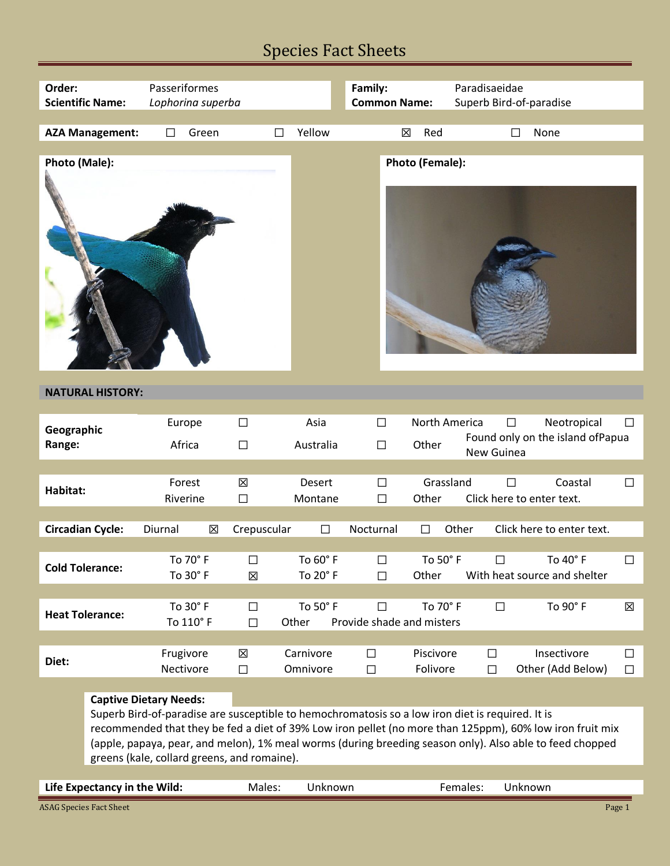## Species Fact Sheets

| Order:                                                                                                                                                                                                                                                                                                                                                                                                                                                                               | Passeriformes          |                  |                       | Family:                             |                        | Paradisaeidae                       |                                                  |                  |
|--------------------------------------------------------------------------------------------------------------------------------------------------------------------------------------------------------------------------------------------------------------------------------------------------------------------------------------------------------------------------------------------------------------------------------------------------------------------------------------|------------------------|------------------|-----------------------|-------------------------------------|------------------------|-------------------------------------|--------------------------------------------------|------------------|
| <b>Scientific Name:</b>                                                                                                                                                                                                                                                                                                                                                                                                                                                              | Lophorina superba      |                  |                       | <b>Common Name:</b>                 |                        | Superb Bird-of-paradise             |                                                  |                  |
|                                                                                                                                                                                                                                                                                                                                                                                                                                                                                      |                        |                  |                       |                                     |                        |                                     |                                                  |                  |
| <b>AZA Management:</b>                                                                                                                                                                                                                                                                                                                                                                                                                                                               | Green<br>□             | П                | Yellow                | 区                                   | Red                    | П                                   | None                                             |                  |
| Photo (Male):                                                                                                                                                                                                                                                                                                                                                                                                                                                                        |                        |                  |                       |                                     | Photo (Female):        |                                     |                                                  |                  |
| <b>NATURAL HISTORY:</b>                                                                                                                                                                                                                                                                                                                                                                                                                                                              |                        |                  |                       |                                     |                        |                                     |                                                  |                  |
| Geographic<br>Range:                                                                                                                                                                                                                                                                                                                                                                                                                                                                 | Europe<br>Africa       | $\Box$<br>$\Box$ | Asia<br>Australia     | $\Box$<br>$\Box$                    | North America<br>Other | $\Box$<br>New Guinea                | Neotropical<br>Found only on the island of Papua | $\Box$           |
| Habitat:                                                                                                                                                                                                                                                                                                                                                                                                                                                                             | Forest<br>Riverine     | 区<br>□           | Desert<br>Montane     | $\Box$<br>П                         | Grassland<br>Other     | $\Box$<br>Click here to enter text. | Coastal                                          | $\Box$           |
|                                                                                                                                                                                                                                                                                                                                                                                                                                                                                      |                        |                  |                       |                                     |                        |                                     |                                                  |                  |
| <b>Circadian Cycle:</b>                                                                                                                                                                                                                                                                                                                                                                                                                                                              | Diurnal<br>⊠           | Crepuscular      | $\Box$                | Nocturnal                           | $\Box$                 | Other                               | Click here to enter text.                        |                  |
| <b>Cold Tolerance:</b>                                                                                                                                                                                                                                                                                                                                                                                                                                                               | To 70° F<br>To 30° F   | $\Box$<br>⊠      | To 60° F<br>To 20° F  | $\Box$<br>$\Box$                    | To 50° F<br>Other      | П                                   | To 40° F<br>With heat source and shelter         | П                |
| <b>Heat Tolerance:</b>                                                                                                                                                                                                                                                                                                                                                                                                                                                               | To 30° F<br>To 110° F  | $\Box$<br>П      | To 50° F<br>Other     | $\Box$<br>Provide shade and misters | To 70° F               | $\Box$                              | To 90° F                                         | X                |
| Diet:                                                                                                                                                                                                                                                                                                                                                                                                                                                                                | Frugivore<br>Nectivore | 図<br>$\Box$      | Carnivore<br>Omnivore | $\Box$<br>$\Box$                    | Piscivore<br>Folivore  | $\Box$<br>$\Box$                    | Insectivore<br>Other (Add Below)                 | $\Box$<br>$\Box$ |
| <b>Captive Dietary Needs:</b><br>Superb Bird-of-paradise are susceptible to hemochromatosis so a low iron diet is required. It is<br>recommended that they be fed a diet of 39% Low iron pellet (no more than 125ppm), 60% low iron fruit mix<br>(apple, papaya, pear, and melon), 1% meal worms (during breeding season only). Also able to feed chopped<br>greens (kale, collard greens, and romaine).<br>Life Expectancy in the Wild:<br>Males:<br>Unknown<br>Females:<br>Unknown |                        |                  |                       |                                     |                        |                                     |                                                  |                  |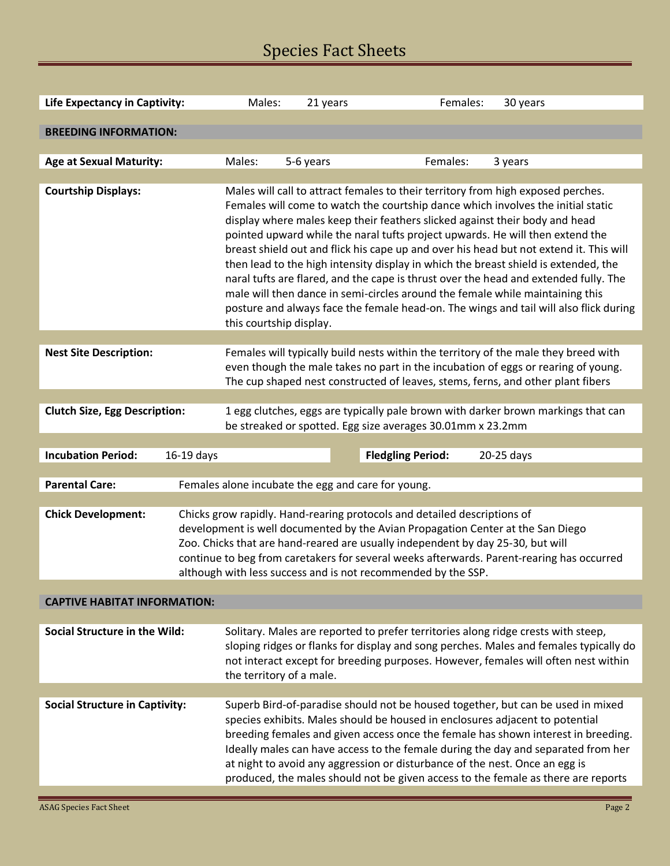# Species Fact Sheets

| Life Expectancy in Captivity:                                               | Males:                                                                                                                                                                                                                                                                                                                                                                                                       | 21 years                                                                                                                                                                                                                                                                                                                                                                                                                                                                                                                                                                                                                                                                                                                                                                                                           | Females:                 | 30 years   |  |  |  |  |
|-----------------------------------------------------------------------------|--------------------------------------------------------------------------------------------------------------------------------------------------------------------------------------------------------------------------------------------------------------------------------------------------------------------------------------------------------------------------------------------------------------|--------------------------------------------------------------------------------------------------------------------------------------------------------------------------------------------------------------------------------------------------------------------------------------------------------------------------------------------------------------------------------------------------------------------------------------------------------------------------------------------------------------------------------------------------------------------------------------------------------------------------------------------------------------------------------------------------------------------------------------------------------------------------------------------------------------------|--------------------------|------------|--|--|--|--|
| <b>BREEDING INFORMATION:</b>                                                |                                                                                                                                                                                                                                                                                                                                                                                                              |                                                                                                                                                                                                                                                                                                                                                                                                                                                                                                                                                                                                                                                                                                                                                                                                                    |                          |            |  |  |  |  |
|                                                                             |                                                                                                                                                                                                                                                                                                                                                                                                              |                                                                                                                                                                                                                                                                                                                                                                                                                                                                                                                                                                                                                                                                                                                                                                                                                    |                          |            |  |  |  |  |
| <b>Age at Sexual Maturity:</b>                                              | Males:<br>5-6 years                                                                                                                                                                                                                                                                                                                                                                                          |                                                                                                                                                                                                                                                                                                                                                                                                                                                                                                                                                                                                                                                                                                                                                                                                                    | Females:                 | 3 years    |  |  |  |  |
|                                                                             |                                                                                                                                                                                                                                                                                                                                                                                                              |                                                                                                                                                                                                                                                                                                                                                                                                                                                                                                                                                                                                                                                                                                                                                                                                                    |                          |            |  |  |  |  |
| <b>Courtship Displays:</b>                                                  |                                                                                                                                                                                                                                                                                                                                                                                                              | Males will call to attract females to their territory from high exposed perches.<br>Females will come to watch the courtship dance which involves the initial static<br>display where males keep their feathers slicked against their body and head<br>pointed upward while the naral tufts project upwards. He will then extend the<br>breast shield out and flick his cape up and over his head but not extend it. This will<br>then lead to the high intensity display in which the breast shield is extended, the<br>naral tufts are flared, and the cape is thrust over the head and extended fully. The<br>male will then dance in semi-circles around the female while maintaining this<br>posture and always face the female head-on. The wings and tail will also flick during<br>this courtship display. |                          |            |  |  |  |  |
|                                                                             |                                                                                                                                                                                                                                                                                                                                                                                                              |                                                                                                                                                                                                                                                                                                                                                                                                                                                                                                                                                                                                                                                                                                                                                                                                                    |                          |            |  |  |  |  |
| <b>Nest Site Description:</b>                                               |                                                                                                                                                                                                                                                                                                                                                                                                              | Females will typically build nests within the territory of the male they breed with<br>even though the male takes no part in the incubation of eggs or rearing of young.<br>The cup shaped nest constructed of leaves, stems, ferns, and other plant fibers                                                                                                                                                                                                                                                                                                                                                                                                                                                                                                                                                        |                          |            |  |  |  |  |
|                                                                             |                                                                                                                                                                                                                                                                                                                                                                                                              |                                                                                                                                                                                                                                                                                                                                                                                                                                                                                                                                                                                                                                                                                                                                                                                                                    |                          |            |  |  |  |  |
| <b>Clutch Size, Egg Description:</b>                                        |                                                                                                                                                                                                                                                                                                                                                                                                              | 1 egg clutches, eggs are typically pale brown with darker brown markings that can<br>be streaked or spotted. Egg size averages 30.01mm x 23.2mm                                                                                                                                                                                                                                                                                                                                                                                                                                                                                                                                                                                                                                                                    |                          |            |  |  |  |  |
| <b>Incubation Period:</b><br>16-19 days                                     |                                                                                                                                                                                                                                                                                                                                                                                                              |                                                                                                                                                                                                                                                                                                                                                                                                                                                                                                                                                                                                                                                                                                                                                                                                                    | <b>Fledgling Period:</b> | 20-25 days |  |  |  |  |
|                                                                             |                                                                                                                                                                                                                                                                                                                                                                                                              |                                                                                                                                                                                                                                                                                                                                                                                                                                                                                                                                                                                                                                                                                                                                                                                                                    |                          |            |  |  |  |  |
| <b>Parental Care:</b><br>Females alone incubate the egg and care for young. |                                                                                                                                                                                                                                                                                                                                                                                                              |                                                                                                                                                                                                                                                                                                                                                                                                                                                                                                                                                                                                                                                                                                                                                                                                                    |                          |            |  |  |  |  |
|                                                                             |                                                                                                                                                                                                                                                                                                                                                                                                              |                                                                                                                                                                                                                                                                                                                                                                                                                                                                                                                                                                                                                                                                                                                                                                                                                    |                          |            |  |  |  |  |
| <b>Chick Development:</b>                                                   | Chicks grow rapidly. Hand-rearing protocols and detailed descriptions of<br>development is well documented by the Avian Propagation Center at the San Diego<br>Zoo. Chicks that are hand-reared are usually independent by day 25-30, but will<br>continue to beg from caretakers for several weeks afterwards. Parent-rearing has occurred<br>although with less success and is not recommended by the SSP. |                                                                                                                                                                                                                                                                                                                                                                                                                                                                                                                                                                                                                                                                                                                                                                                                                    |                          |            |  |  |  |  |
|                                                                             |                                                                                                                                                                                                                                                                                                                                                                                                              |                                                                                                                                                                                                                                                                                                                                                                                                                                                                                                                                                                                                                                                                                                                                                                                                                    |                          |            |  |  |  |  |
| <b>CAPTIVE HABITAT INFORMATION:</b>                                         |                                                                                                                                                                                                                                                                                                                                                                                                              |                                                                                                                                                                                                                                                                                                                                                                                                                                                                                                                                                                                                                                                                                                                                                                                                                    |                          |            |  |  |  |  |
| <b>Social Structure in the Wild:</b>                                        |                                                                                                                                                                                                                                                                                                                                                                                                              | Solitary. Males are reported to prefer territories along ridge crests with steep,<br>sloping ridges or flanks for display and song perches. Males and females typically do<br>not interact except for breeding purposes. However, females will often nest within<br>the territory of a male.                                                                                                                                                                                                                                                                                                                                                                                                                                                                                                                       |                          |            |  |  |  |  |
|                                                                             |                                                                                                                                                                                                                                                                                                                                                                                                              |                                                                                                                                                                                                                                                                                                                                                                                                                                                                                                                                                                                                                                                                                                                                                                                                                    |                          |            |  |  |  |  |
| <b>Social Structure in Captivity:</b>                                       |                                                                                                                                                                                                                                                                                                                                                                                                              | Superb Bird-of-paradise should not be housed together, but can be used in mixed<br>species exhibits. Males should be housed in enclosures adjacent to potential<br>breeding females and given access once the female has shown interest in breeding.<br>Ideally males can have access to the female during the day and separated from her<br>at night to avoid any aggression or disturbance of the nest. Once an egg is<br>produced, the males should not be given access to the female as there are reports                                                                                                                                                                                                                                                                                                      |                          |            |  |  |  |  |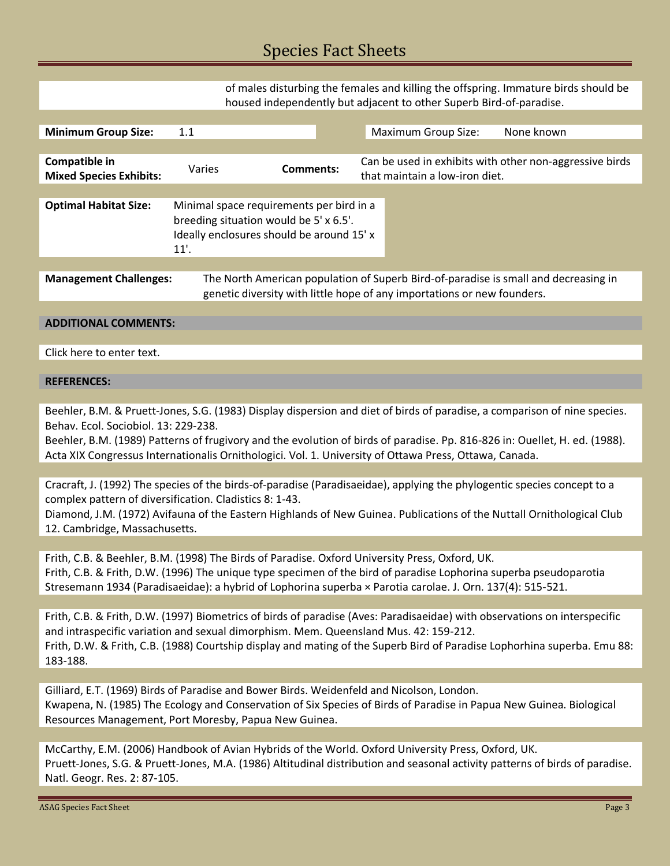### Species Fact Sheets

of males disturbing the females and killing the offspring. Immature birds should be housed independently but adjacent to other Superb Bird-of-paradise.

| <b>Minimum Group Size:</b>                      | 1.1    |                                                                                                                                                                | <b>Maximum Group Size:</b><br>None known                                                  |  |  |  |
|-------------------------------------------------|--------|----------------------------------------------------------------------------------------------------------------------------------------------------------------|-------------------------------------------------------------------------------------------|--|--|--|
|                                                 |        |                                                                                                                                                                |                                                                                           |  |  |  |
| Compatible in<br><b>Mixed Species Exhibits:</b> | Varies | <b>Comments:</b>                                                                                                                                               | Can be used in exhibits with other non-aggressive birds<br>that maintain a low-iron diet. |  |  |  |
|                                                 |        |                                                                                                                                                                |                                                                                           |  |  |  |
| <b>Optimal Habitat Size:</b>                    | 11'.   | Minimal space requirements per bird in a<br>breeding situation would be 5'x 6.5'.<br>Ideally enclosures should be around 15' x                                 |                                                                                           |  |  |  |
|                                                 |        |                                                                                                                                                                |                                                                                           |  |  |  |
| <b>Management Challenges:</b>                   |        | The North American population of Superb Bird-of-paradise is small and decreasing in<br>genetic diversity with little hope of any importations or new founders. |                                                                                           |  |  |  |

#### **ADDITIONAL COMMENTS:**

Click here to enter text.

#### **REFERENCES:**

Beehler, B.M. & Pruett-Jones, S.G. (1983) Display dispersion and diet of birds of paradise, a comparison of nine species. Behav. Ecol. Sociobiol. 13: 229-238.

Beehler, B.M. (1989) Patterns of frugivory and the evolution of birds of paradise. Pp. 816-826 in: Ouellet, H. ed. (1988). Acta XIX Congressus Internationalis Ornithologici. Vol. 1. University of Ottawa Press, Ottawa, Canada.

Cracraft, J. (1992) The species of the birds-of-paradise (Paradisaeidae), applying the phylogentic species concept to a complex pattern of diversification. Cladistics 8: 1-43.

Diamond, J.M. (1972) Avifauna of the Eastern Highlands of New Guinea. Publications of the Nuttall Ornithological Club 12. Cambridge, Massachusetts.

Frith, C.B. & Beehler, B.M. (1998) The Birds of Paradise. Oxford University Press, Oxford, UK. Frith, C.B. & Frith, D.W. (1996) The unique type specimen of the bird of paradise Lophorina superba pseudoparotia Stresemann 1934 (Paradisaeidae): a hybrid of Lophorina superba × Parotia carolae. J. Orn. 137(4): 515-521.

Frith, C.B. & Frith, D.W. (1997) Biometrics of birds of paradise (Aves: Paradisaeidae) with observations on interspecific and intraspecific variation and sexual dimorphism. Mem. Queensland Mus. 42: 159-212. Frith, D.W. & Frith, C.B. (1988) Courtship display and mating of the Superb Bird of Paradise Lophorhina superba. Emu 88: 183-188.

Gilliard, E.T. (1969) Birds of Paradise and Bower Birds. Weidenfeld and Nicolson, London. Kwapena, N. (1985) The Ecology and Conservation of Six Species of Birds of Paradise in Papua New Guinea. Biological Resources Management, Port Moresby, Papua New Guinea.

McCarthy, E.M. (2006) Handbook of Avian Hybrids of the World. Oxford University Press, Oxford, UK. Pruett-Jones, S.G. & Pruett-Jones, M.A. (1986) Altitudinal distribution and seasonal activity patterns of birds of paradise. Natl. Geogr. Res. 2: 87-105.